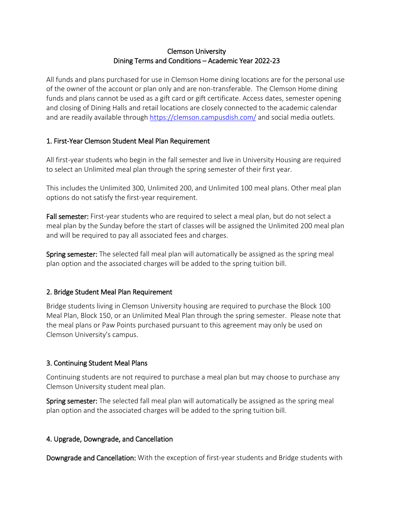## Clemson University Dining Terms and Conditions – Academic Year 2022-23

All funds and plans purchased for use in Clemson Home dining locations are for the personal use of the owner of the account or plan only and are non-transferable. The Clemson Home dining funds and plans cannot be used as a gift card or gift certificate. Access dates, semester opening and closing of Dining Halls and retail locations are closely connected to the academic calendar and are readily available through <https://clemson.campusdish.com/> and social media outlets.

## 1. First-Year Clemson Student Meal Plan Requirement

All first-year students who begin in the fall semester and live in University Housing are required to select an Unlimited meal plan through the spring semester of their first year.

This includes the Unlimited 300, Unlimited 200, and Unlimited 100 meal plans. Other meal plan options do not satisfy the first-year requirement.

Fall semester: First-year students who are required to select a meal plan, but do not select a meal plan by the Sunday before the start of classes will be assigned the Unlimited 200 meal plan and will be required to pay all associated fees and charges.

Spring semester: The selected fall meal plan will automatically be assigned as the spring meal plan option and the associated charges will be added to the spring tuition bill.

# 2. Bridge Student Meal Plan Requirement

Bridge students living in Clemson University housing are required to purchase the Block 100 Meal Plan, Block 150, or an Unlimited Meal Plan through the spring semester. Please note that the meal plans or Paw Points purchased pursuant to this agreement may only be used on Clemson University's campus.

# 3. Continuing Student Meal Plans

Continuing students are not required to purchase a meal plan but may choose to purchase any Clemson University student meal plan.

Spring semester: The selected fall meal plan will automatically be assigned as the spring meal plan option and the associated charges will be added to the spring tuition bill.

## 4. Upgrade, Downgrade, and Cancellation

Downgrade and Cancellation: With the exception of first-year students and Bridge students with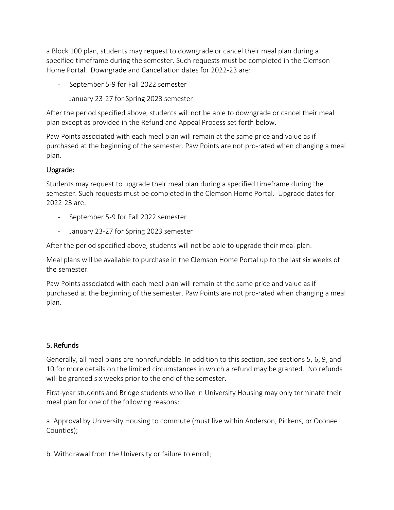a Block 100 plan, students may request to downgrade or cancel their meal plan during a specified timeframe during the semester. Such requests must be completed in the Clemson Home Portal. Downgrade and Cancellation dates for 2022-23 are:

- September 5-9 for Fall 2022 semester
- January 23-27 for Spring 2023 semester

After the period specified above, students will not be able to downgrade or cancel their meal plan except as provided in the Refund and Appeal Process set forth below.

Paw Points associated with each meal plan will remain at the same price and value as if purchased at the beginning of the semester. Paw Points are not pro-rated when changing a meal plan.

## Upgrade:

Students may request to upgrade their meal plan during a specified timeframe during the semester. Such requests must be completed in the Clemson Home Portal. Upgrade dates for 2022-23 are:

- September 5-9 for Fall 2022 semester
- January 23-27 for Spring 2023 semester

After the period specified above, students will not be able to upgrade their meal plan.

Meal plans will be available to purchase in the Clemson Home Portal up to the last six weeks of the semester.

Paw Points associated with each meal plan will remain at the same price and value as if purchased at the beginning of the semester. Paw Points are not pro-rated when changing a meal plan.

# 5. Refunds

Generally, all meal plans are nonrefundable. In addition to this section, see sections 5, 6, 9, and 10 for more details on the limited circumstances in which a refund may be granted. No refunds will be granted six weeks prior to the end of the semester.

First-year students and Bridge students who live in University Housing may only terminate their meal plan for one of the following reasons:

a. Approval by University Housing to commute (must live within Anderson, Pickens, or Oconee Counties);

b. Withdrawal from the University or failure to enroll;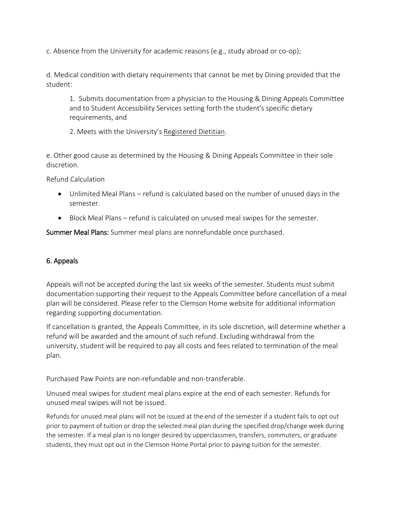c. Absence from the University for academic reasons (e.g., study abroad or co-op);

d. Medical condition with dietary requirements that cannot be met by Dining provided that the student:

1. Submits documentation from a physician to the Housing & Dining Appeals Committee and to Student Accessibility Services setting forth the student's specific dietary requirements, and

2. Meets with the University's [Registered Dietitian.](mailto:nutrition@clemson.edu)

e. Other good cause as determined by the Housing & Dining Appeals Committee in their sole discretion.

Refund Calculation

- Unlimited Meal Plans refund is calculated based on the number of unused days in the semester.
- Block Meal Plans refund is calculated on unused meal swipes for the semester.

Summer Meal Plans: Summer meal plans are nonrefundable once purchased.

# 6. Appeals

Appeals will not be accepted during the last six weeks of the semester. Students must submit documentation supporting their request to the Appeals Committee before cancellation of a meal plan will be considered. Please refer to the Clemson Home website for additional information regarding supporting documentation.

If cancellation is granted, the Appeals Committee, in its sole discretion, will determine whether a refund will be awarded and the amount of such refund. Excluding withdrawal from the university, student will be required to pay all costs and fees related to termination of the meal plan.

Purchased Paw Points are non-refundable and non-transferable.

Unused meal swipes for student meal plans expire at the end of each semester. Refunds for unused meal swipes will not be issued.

Refunds for unused meal plans will not be issued at the end of the semester if a student fails to opt out prior to payment of tuition or drop the selected meal plan during the specified drop/change week during the semester. If a meal plan is no longer desired by upperclassmen, transfers, commuters, or graduate students, they must opt out in the Clemson Home Portal prior to paying tuition for the semester.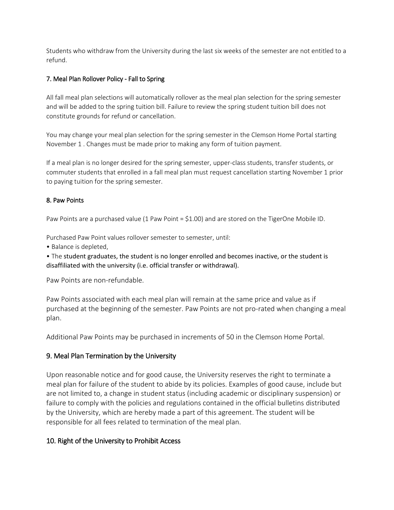Students who withdraw from the University during the last six weeks of the semester are not entitled to a refund.

### 7. Meal Plan Rollover Policy - Fall to Spring

All fall meal plan selections will automatically rollover as the meal plan selection for the spring semester and will be added to the spring tuition bill. Failure to review the spring student tuition bill does not constitute grounds for refund or cancellation.

You may change your meal plan selection for the spring semester in the Clemson Home Portal starting November 1 . Changes must be made prior to making any form of tuition payment.

If a meal plan is no longer desired for the spring semester, upper-class students, transfer students, or commuter students that enrolled in a fall meal plan must request cancellation starting November 1 prior to paying tuition for the spring semester.

#### 8. Paw Points

Paw Points are a purchased value (1 Paw Point = \$1.00) and are stored on the TigerOne Mobile ID.

Purchased Paw Point values rollover semester to semester, until:

• Balance is depleted,

• The student graduates, the student is no longer enrolled and becomes inactive, or the student is disaffiliated with the university (i.e. official transfer or withdrawal).

Paw Points are non-refundable.

Paw Points associated with each meal plan will remain at the same price and value as if purchased at the beginning of the semester. Paw Points are not pro-rated when changing a meal plan.

Additional Paw Points may be purchased in increments of 50 in the Clemson Home Portal.

## 9. Meal Plan Termination by the University

Upon reasonable notice and for good cause, the University reserves the right to terminate a meal plan for failure of the student to abide by its policies. Examples of good cause, include but are not limited to, a change in student status (including academic or disciplinary suspension) or failure to comply with the policies and regulations contained in the official bulletins distributed by the University, which are hereby made a part of this agreement. The student will be responsible for all fees related to termination of the meal plan.

## 10. Right of the University to Prohibit Access